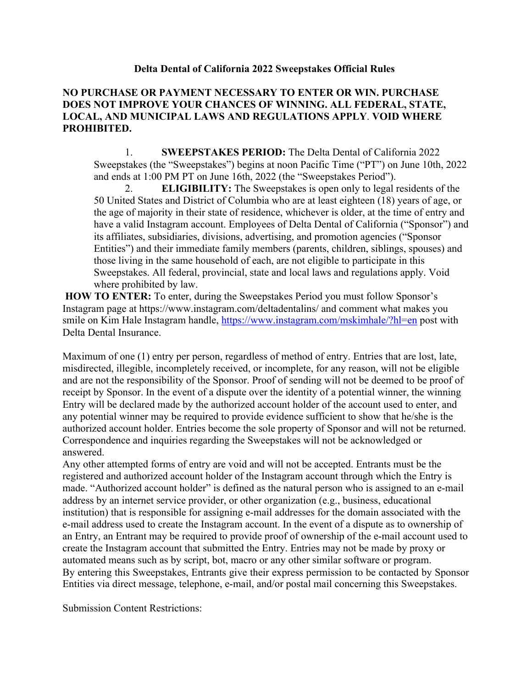## **Delta Dental of California 2022 Sweepstakes Official Rules**

## **NO PURCHASE OR PAYMENT NECESSARY TO ENTER OR WIN. PURCHASE DOES NOT IMPROVE YOUR CHANCES OF WINNING. ALL FEDERAL, STATE, LOCAL, AND MUNICIPAL LAWS AND REGULATIONS APPLY**. **VOID WHERE PROHIBITED.**

1. **SWEEPSTAKES PERIOD:** The Delta Dental of California 2022 Sweepstakes (the "Sweepstakes") begins at noon Pacific Time ("PT") on June 10th, 2022 and ends at 1:00 PM PT on June 16th, 2022 (the "Sweepstakes Period").

2. **ELIGIBILITY:** The Sweepstakes is open only to legal residents of the 50 United States and District of Columbia who are at least eighteen (18) years of age, or the age of majority in their state of residence, whichever is older, at the time of entry and have a valid Instagram account. Employees of Delta Dental of California ("Sponsor") and its affiliates, subsidiaries, divisions, advertising, and promotion agencies ("Sponsor Entities") and their immediate family members (parents, children, siblings, spouses) and those living in the same household of each, are not eligible to participate in this Sweepstakes. All federal, provincial, state and local laws and regulations apply. Void where prohibited by law.

**HOW TO ENTER:** To enter, during the Sweepstakes Period you must follow Sponsor's Instagram page at https://www.instagram.com/deltadentalins/ and comment what makes you smile on Kim Hale Instagram handle, https://www.instagram.com/mskimhale/?hl=en post with Delta Dental Insurance.

Maximum of one (1) entry per person, regardless of method of entry. Entries that are lost, late, misdirected, illegible, incompletely received, or incomplete, for any reason, will not be eligible and are not the responsibility of the Sponsor. Proof of sending will not be deemed to be proof of receipt by Sponsor. In the event of a dispute over the identity of a potential winner, the winning Entry will be declared made by the authorized account holder of the account used to enter, and any potential winner may be required to provide evidence sufficient to show that he/she is the authorized account holder. Entries become the sole property of Sponsor and will not be returned. Correspondence and inquiries regarding the Sweepstakes will not be acknowledged or answered.

Any other attempted forms of entry are void and will not be accepted. Entrants must be the registered and authorized account holder of the Instagram account through which the Entry is made. "Authorized account holder" is defined as the natural person who is assigned to an e-mail address by an internet service provider, or other organization (e.g., business, educational institution) that is responsible for assigning e-mail addresses for the domain associated with the e-mail address used to create the Instagram account. In the event of a dispute as to ownership of an Entry, an Entrant may be required to provide proof of ownership of the e-mail account used to create the Instagram account that submitted the Entry. Entries may not be made by proxy or automated means such as by script, bot, macro or any other similar software or program. By entering this Sweepstakes, Entrants give their express permission to be contacted by Sponsor Entities via direct message, telephone, e-mail, and/or postal mail concerning this Sweepstakes.

Submission Content Restrictions: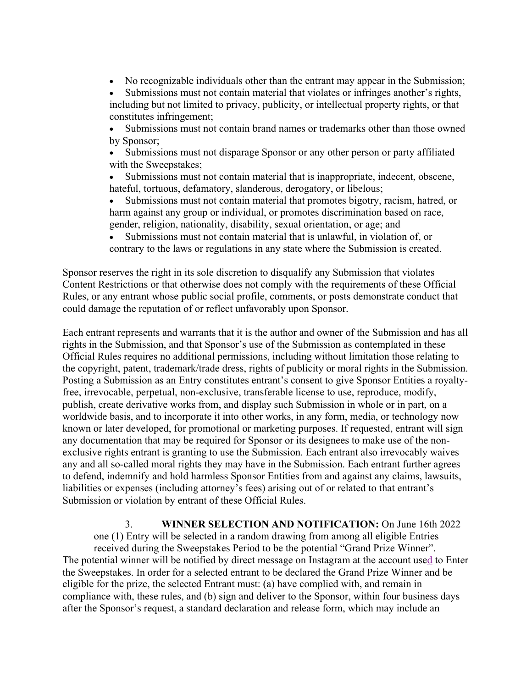- No recognizable individuals other than the entrant may appear in the Submission;
- Submissions must not contain material that violates or infringes another's rights, including but not limited to privacy, publicity, or intellectual property rights, or that constitutes infringement;
- Submissions must not contain brand names or trademarks other than those owned by Sponsor;
- Submissions must not disparage Sponsor or any other person or party affiliated with the Sweepstakes;
- Submissions must not contain material that is inappropriate, indecent, obscene, hateful, tortuous, defamatory, slanderous, derogatory, or libelous;
- Submissions must not contain material that promotes bigotry, racism, hatred, or harm against any group or individual, or promotes discrimination based on race, gender, religion, nationality, disability, sexual orientation, or age; and
- Submissions must not contain material that is unlawful, in violation of, or contrary to the laws or regulations in any state where the Submission is created.

Sponsor reserves the right in its sole discretion to disqualify any Submission that violates Content Restrictions or that otherwise does not comply with the requirements of these Official Rules, or any entrant whose public social profile, comments, or posts demonstrate conduct that could damage the reputation of or reflect unfavorably upon Sponsor.

Each entrant represents and warrants that it is the author and owner of the Submission and has all rights in the Submission, and that Sponsor's use of the Submission as contemplated in these Official Rules requires no additional permissions, including without limitation those relating to the copyright, patent, trademark/trade dress, rights of publicity or moral rights in the Submission. Posting a Submission as an Entry constitutes entrant's consent to give Sponsor Entities a royaltyfree, irrevocable, perpetual, non-exclusive, transferable license to use, reproduce, modify, publish, create derivative works from, and display such Submission in whole or in part, on a worldwide basis, and to incorporate it into other works, in any form, media, or technology now known or later developed, for promotional or marketing purposes. If requested, entrant will sign any documentation that may be required for Sponsor or its designees to make use of the nonexclusive rights entrant is granting to use the Submission. Each entrant also irrevocably waives any and all so-called moral rights they may have in the Submission. Each entrant further agrees to defend, indemnify and hold harmless Sponsor Entities from and against any claims, lawsuits, liabilities or expenses (including attorney's fees) arising out of or related to that entrant's Submission or violation by entrant of these Official Rules.

3. **WINNER SELECTION AND NOTIFICATION:** On June 16th 2022 one (1) Entry will be selected in a random drawing from among all eligible Entries received during the Sweepstakes Period to be the potential "Grand Prize Winner". The potential winner will be notified by direct message on Instagram at the account used to Enter the Sweepstakes. In order for a selected entrant to be declared the Grand Prize Winner and be eligible for the prize, the selected Entrant must: (a) have complied with, and remain in compliance with, these rules, and (b) sign and deliver to the Sponsor, within four business days after the Sponsor's request, a standard declaration and release form, which may include an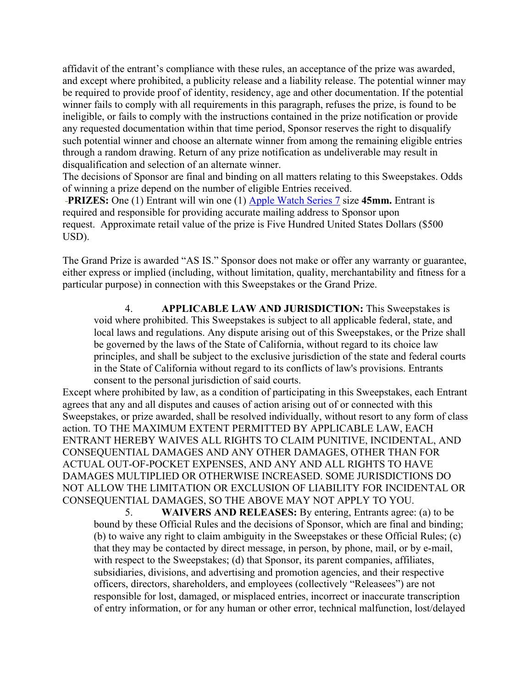affidavit of the entrant's compliance with these rules, an acceptance of the prize was awarded, and except where prohibited, a publicity release and a liability release. The potential winner may be required to provide proof of identity, residency, age and other documentation. If the potential winner fails to comply with all requirements in this paragraph, refuses the prize, is found to be ineligible, or fails to comply with the instructions contained in the prize notification or provide any requested documentation within that time period, Sponsor reserves the right to disqualify such potential winner and choose an alternate winner from among the remaining eligible entries through a random drawing. Return of any prize notification as undeliverable may result in disqualification and selection of an alternate winner.

The decisions of Sponsor are final and binding on all matters relating to this Sweepstakes. Odds of winning a prize depend on the number of eligible Entries received.

**PRIZES:** One (1) Entrant will win one (1) Apple Watch Series 7 size 45mm. Entrant is required and responsible for providing accurate mailing address to Sponsor upon request. Approximate retail value of the prize is Five Hundred United States Dollars (\$500 USD).

The Grand Prize is awarded "AS IS." Sponsor does not make or offer any warranty or guarantee, either express or implied (including, without limitation, quality, merchantability and fitness for a particular purpose) in connection with this Sweepstakes or the Grand Prize.

4. **APPLICABLE LAW AND JURISDICTION:** This Sweepstakes is void where prohibited. This Sweepstakes is subject to all applicable federal, state, and local laws and regulations. Any dispute arising out of this Sweepstakes, or the Prize shall be governed by the laws of the State of California, without regard to its choice law principles, and shall be subject to the exclusive jurisdiction of the state and federal courts in the State of California without regard to its conflicts of law's provisions. Entrants consent to the personal jurisdiction of said courts.

Except where prohibited by law, as a condition of participating in this Sweepstakes, each Entrant agrees that any and all disputes and causes of action arising out of or connected with this Sweepstakes, or prize awarded, shall be resolved individually, without resort to any form of class action. TO THE MAXIMUM EXTENT PERMITTED BY APPLICABLE LAW, EACH ENTRANT HEREBY WAIVES ALL RIGHTS TO CLAIM PUNITIVE, INCIDENTAL, AND CONSEQUENTIAL DAMAGES AND ANY OTHER DAMAGES, OTHER THAN FOR ACTUAL OUT-OF-POCKET EXPENSES, AND ANY AND ALL RIGHTS TO HAVE DAMAGES MULTIPLIED OR OTHERWISE INCREASED. SOME JURISDICTIONS DO NOT ALLOW THE LIMITATION OR EXCLUSION OF LIABILITY FOR INCIDENTAL OR CONSEQUENTIAL DAMAGES, SO THE ABOVE MAY NOT APPLY TO YOU.

5. **WAIVERS AND RELEASES:** By entering, Entrants agree: (a) to be bound by these Official Rules and the decisions of Sponsor, which are final and binding; (b) to waive any right to claim ambiguity in the Sweepstakes or these Official Rules; (c) that they may be contacted by direct message, in person, by phone, mail, or by e-mail, with respect to the Sweepstakes; (d) that Sponsor, its parent companies, affiliates, subsidiaries, divisions, and advertising and promotion agencies, and their respective officers, directors, shareholders, and employees (collectively "Releasees") are not responsible for lost, damaged, or misplaced entries, incorrect or inaccurate transcription of entry information, or for any human or other error, technical malfunction, lost/delayed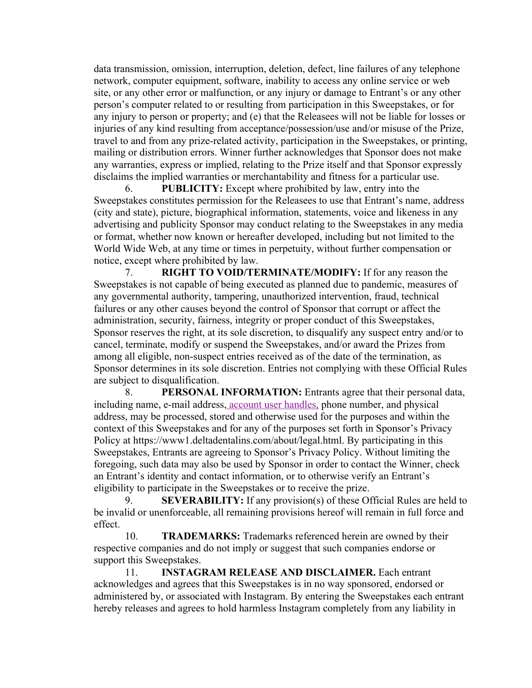data transmission, omission, interruption, deletion, defect, line failures of any telephone network, computer equipment, software, inability to access any online service or web site, or any other error or malfunction, or any injury or damage to Entrant's or any other person's computer related to or resulting from participation in this Sweepstakes, or for any injury to person or property; and (e) that the Releasees will not be liable for losses or injuries of any kind resulting from acceptance/possession/use and/or misuse of the Prize, travel to and from any prize-related activity, participation in the Sweepstakes, or printing, mailing or distribution errors. Winner further acknowledges that Sponsor does not make any warranties, express or implied, relating to the Prize itself and that Sponsor expressly disclaims the implied warranties or merchantability and fitness for a particular use.

6. **PUBLICITY:** Except where prohibited by law, entry into the Sweepstakes constitutes permission for the Releasees to use that Entrant's name, address (city and state), picture, biographical information, statements, voice and likeness in any advertising and publicity Sponsor may conduct relating to the Sweepstakes in any media or format, whether now known or hereafter developed, including but not limited to the World Wide Web, at any time or times in perpetuity, without further compensation or notice, except where prohibited by law.

7. **RIGHT TO VOID/TERMINATE/MODIFY:** If for any reason the Sweepstakes is not capable of being executed as planned due to pandemic, measures of any governmental authority, tampering, unauthorized intervention, fraud, technical failures or any other causes beyond the control of Sponsor that corrupt or affect the administration, security, fairness, integrity or proper conduct of this Sweepstakes, Sponsor reserves the right, at its sole discretion, to disqualify any suspect entry and/or to cancel, terminate, modify or suspend the Sweepstakes, and/or award the Prizes from among all eligible, non-suspect entries received as of the date of the termination, as Sponsor determines in its sole discretion. Entries not complying with these Official Rules are subject to disqualification.

8. **PERSONAL INFORMATION:** Entrants agree that their personal data, including name, e-mail address, account user handles, phone number, and physical address, may be processed, stored and otherwise used for the purposes and within the context of this Sweepstakes and for any of the purposes set forth in Sponsor's Privacy Policy at https://www1.deltadentalins.com/about/legal.html. By participating in this Sweepstakes, Entrants are agreeing to Sponsor's Privacy Policy. Without limiting the foregoing, such data may also be used by Sponsor in order to contact the Winner, check an Entrant's identity and contact information, or to otherwise verify an Entrant's eligibility to participate in the Sweepstakes or to receive the prize.

9. **SEVERABILITY:** If any provision(s) of these Official Rules are held to be invalid or unenforceable, all remaining provisions hereof will remain in full force and effect.

10. **TRADEMARKS:** Trademarks referenced herein are owned by their respective companies and do not imply or suggest that such companies endorse or support this Sweepstakes.

11. **INSTAGRAM RELEASE AND DISCLAIMER.** Each entrant acknowledges and agrees that this Sweepstakes is in no way sponsored, endorsed or administered by, or associated with Instagram. By entering the Sweepstakes each entrant hereby releases and agrees to hold harmless Instagram completely from any liability in